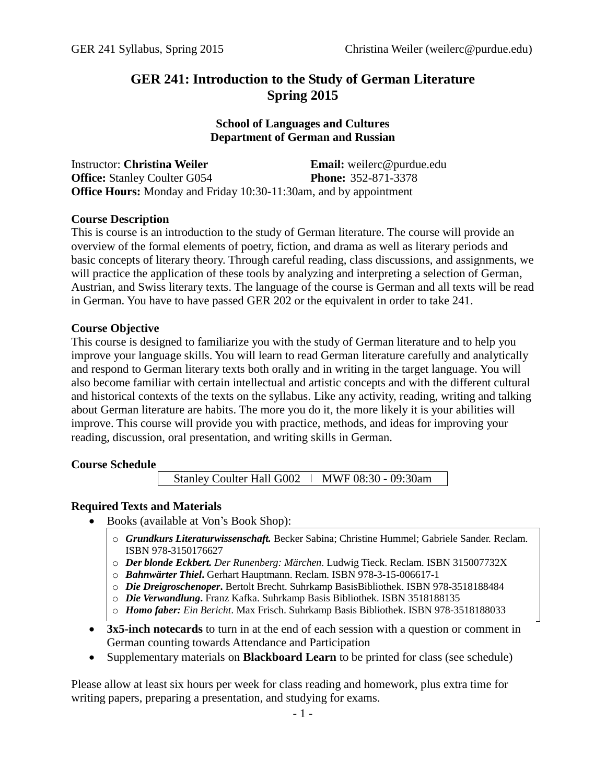# **GER 241: Introduction to the Study of German Literature Spring 2015**

## **School of Languages and Cultures Department of German and Russian**

| <b>Instructor: Christina Weiler</b>                                      | <b>Email:</b> weilerc@purdue.edu |
|--------------------------------------------------------------------------|----------------------------------|
| <b>Office:</b> Stanley Coulter G054                                      | <b>Phone:</b> 352-871-3378       |
| <b>Office Hours:</b> Monday and Friday 10:30-11:30am, and by appointment |                                  |

### **Course Description**

This is course is an introduction to the study of German literature. The course will provide an overview of the formal elements of poetry, fiction, and drama as well as literary periods and basic concepts of literary theory. Through careful reading, class discussions, and assignments, we will practice the application of these tools by analyzing and interpreting a selection of German, Austrian, and Swiss literary texts. The language of the course is German and all texts will be read in German. You have to have passed GER 202 or the equivalent in order to take 241.

### **Course Objective**

This course is designed to familiarize you with the study of German literature and to help you improve your language skills. You will learn to read German literature carefully and analytically and respond to German literary texts both orally and in writing in the target language. You will also become familiar with certain intellectual and artistic concepts and with the different cultural and historical contexts of the texts on the syllabus. Like any activity, reading, writing and talking about German literature are habits. The more you do it, the more likely it is your abilities will improve. This course will provide you with practice, methods, and ideas for improving your reading, discussion, oral presentation, and writing skills in German.

### **Course Schedule**

Stanley Coulter Hall G002 ǀ MWF 08:30 - 09:30am

# **Required Texts and Materials**

- Books (available at Von's Book Shop):
	- o *Grundkurs Literaturwissenschaft.* Becker Sabina; Christine Hummel; Gabriele Sander. Reclam. ISBN 978-3150176627
	- o *Der blonde Eckbert. Der Runenberg: Märchen*. Ludwig Tieck. Reclam. ISBN 315007732X
	- o *Bahnwärter Thiel***.** Gerhart Hauptmann. Reclam. ISBN 978-3-15-006617-1
	- o *Die Dreigroschenoper***.** Bertolt Brecht. Suhrkamp BasisBibliothek. ISBN 978-3518188484
	- o *Die Verwandlung***.** Franz Kafka. Suhrkamp Basis Bibliothek. ISBN 3518188135
	- o *Homo faber: Ein Bericht*. Max Frisch. Suhrkamp Basis Bibliothek. ISBN 978-3518188033
- **3x5-inch notecards** to turn in at the end of each session with a question or comment in German counting towards Attendance and Participation
- Supplementary materials on **Blackboard Learn** to be printed for class (see schedule)

Please allow at least six hours per week for class reading and homework, plus extra time for writing papers, preparing a presentation, and studying for exams.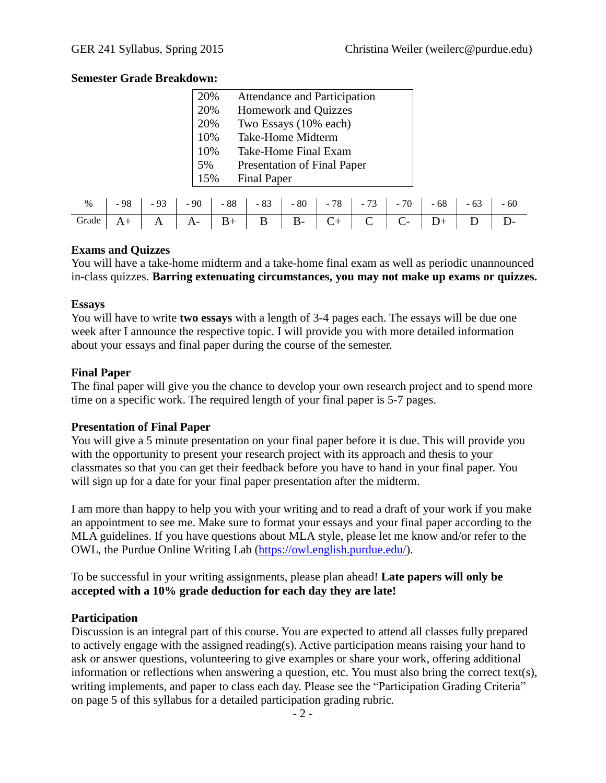## **Semester Grade Breakdown:**

| 20% | <b>Attendance and Participation</b> |  |
|-----|-------------------------------------|--|
| 20% | <b>Homework and Quizzes</b>         |  |
| 20% | Two Essays (10% each)               |  |
| 10% | <b>Take-Home Midterm</b>            |  |
| 10% | Take-Home Final Exam                |  |
| 5%  | <b>Presentation of Final Paper</b>  |  |
| 15% | <b>Final Paper</b>                  |  |

| % -98 -93 -90 -88 -83 -80 -78 -73 -70 -68 -63 -60<br>Grade A+ A A- B+ B B- C+ C C- D+ D D- |  |  |  |  |  |  |
|--------------------------------------------------------------------------------------------|--|--|--|--|--|--|
|                                                                                            |  |  |  |  |  |  |

### **Exams and Quizzes**

You will have a take-home midterm and a take-home final exam as well as periodic unannounced in-class quizzes. **Barring extenuating circumstances, you may not make up exams or quizzes.**

### **Essays**

You will have to write **two essays** with a length of 3-4 pages each. The essays will be due one week after I announce the respective topic. I will provide you with more detailed information about your essays and final paper during the course of the semester.

# **Final Paper**

The final paper will give you the chance to develop your own research project and to spend more time on a specific work. The required length of your final paper is 5-7 pages.

# **Presentation of Final Paper**

You will give a 5 minute presentation on your final paper before it is due. This will provide you with the opportunity to present your research project with its approach and thesis to your classmates so that you can get their feedback before you have to hand in your final paper. You will sign up for a date for your final paper presentation after the midterm.

I am more than happy to help you with your writing and to read a draft of your work if you make an appointment to see me. Make sure to format your essays and your final paper according to the MLA guidelines. If you have questions about MLA style, please let me know and/or refer to the OWL, the Purdue Online Writing Lab [\(https://owl.english.purdue.edu/\)](https://owl.english.purdue.edu/).

To be successful in your writing assignments, please plan ahead! **Late papers will only be accepted with a 10% grade deduction for each day they are late!**

# **Participation**

Discussion is an integral part of this course. You are expected to attend all classes fully prepared to actively engage with the assigned reading(s). Active participation means raising your hand to ask or answer questions, volunteering to give examples or share your work, offering additional information or reflections when answering a question, etc. You must also bring the correct text(s), writing implements, and paper to class each day. Please see the "Participation Grading Criteria" on page 5 of this syllabus for a detailed participation grading rubric.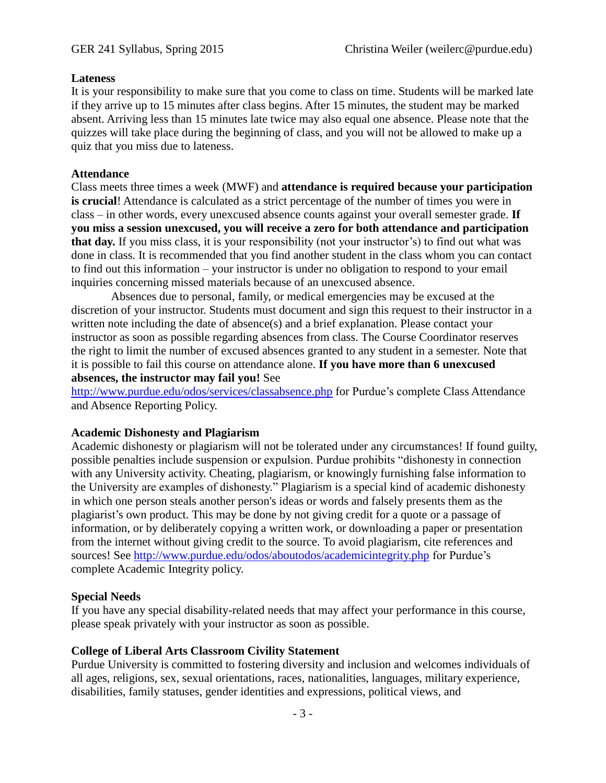#### **Lateness**

It is your responsibility to make sure that you come to class on time. Students will be marked late if they arrive up to 15 minutes after class begins. After 15 minutes, the student may be marked absent. Arriving less than 15 minutes late twice may also equal one absence. Please note that the quizzes will take place during the beginning of class, and you will not be allowed to make up a quiz that you miss due to lateness.

#### **Attendance**

Class meets three times a week (MWF) and **attendance is required because your participation is crucial**! Attendance is calculated as a strict percentage of the number of times you were in class – in other words, every unexcused absence counts against your overall semester grade. **If you miss a session unexcused, you will receive a zero for both attendance and participation that day.** If you miss class, it is your responsibility (not your instructor's) to find out what was done in class. It is recommended that you find another student in the class whom you can contact to find out this information – your instructor is under no obligation to respond to your email inquiries concerning missed materials because of an unexcused absence.

Absences due to personal, family, or medical emergencies may be excused at the discretion of your instructor. Students must document and sign this request to their instructor in a written note including the date of absence(s) and a brief explanation. Please contact your instructor as soon as possible regarding absences from class. The Course Coordinator reserves the right to limit the number of excused absences granted to any student in a semester. Note that it is possible to fail this course on attendance alone. **If you have more than 6 unexcused absences, the instructor may fail you!** See

<http://www.purdue.edu/odos/services/classabsence.php> for Purdue's complete Class Attendance and Absence Reporting Policy.

#### **Academic Dishonesty and Plagiarism**

Academic dishonesty or plagiarism will not be tolerated under any circumstances! If found guilty, possible penalties include suspension or expulsion. Purdue prohibits "dishonesty in connection with any University activity. Cheating, plagiarism, or knowingly furnishing false information to the University are examples of dishonesty." Plagiarism is a special kind of academic dishonesty in which one person steals another person's ideas or words and falsely presents them as the plagiarist's own product. This may be done by not giving credit for a quote or a passage of information, or by deliberately copying a written work, or downloading a paper or presentation from the internet without giving credit to the source. To avoid plagiarism, cite references and sources! See<http://www.purdue.edu/odos/aboutodos/academicintegrity.php> for Purdue's complete Academic Integrity policy.

### **Special Needs**

If you have any special disability-related needs that may affect your performance in this course, please speak privately with your instructor as soon as possible.

### **College of Liberal Arts Classroom Civility Statement**

Purdue University is committed to fostering diversity and inclusion and welcomes individuals of all ages, religions, sex, sexual orientations, races, nationalities, languages, military experience, disabilities, family statuses, gender identities and expressions, political views, and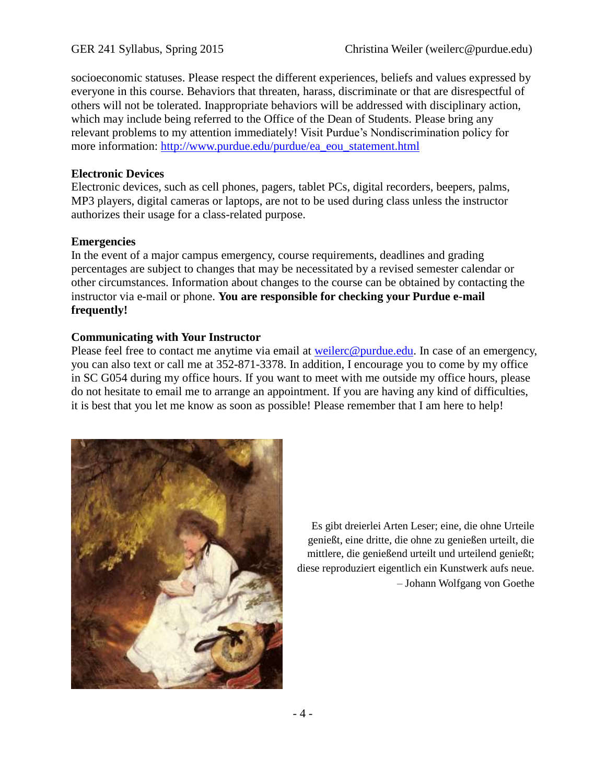socioeconomic statuses. Please respect the different experiences, beliefs and values expressed by everyone in this course. Behaviors that threaten, harass, discriminate or that are disrespectful of others will not be tolerated. Inappropriate behaviors will be addressed with disciplinary action, which may include being referred to the Office of the Dean of Students. Please bring any relevant problems to my attention immediately! Visit Purdue's Nondiscrimination policy for more information: [http://www.purdue.edu/purdue/ea\\_eou\\_statement.html](http://www.purdue.edu/purdue/ea_eou_statement.html)

# **Electronic Devices**

Electronic devices, such as cell phones, pagers, tablet PCs, digital recorders, beepers, palms, MP3 players, digital cameras or laptops, are not to be used during class unless the instructor authorizes their usage for a class-related purpose.

# **Emergencies**

In the event of a major campus emergency, course requirements, deadlines and grading percentages are subject to changes that may be necessitated by a revised semester calendar or other circumstances. Information about changes to the course can be obtained by contacting the instructor via e-mail or phone. **You are responsible for checking your Purdue e-mail frequently!**

# **Communicating with Your Instructor**

Please feel free to contact me anytime via email at [weilerc@purdue.edu.](mailto:weilerc@purdue.edu) In case of an emergency, you can also text or call me at 352-871-3378. In addition, I encourage you to come by my office in SC G054 during my office hours. If you want to meet with me outside my office hours, please do not hesitate to email me to arrange an appointment. If you are having any kind of difficulties, it is best that you let me know as soon as possible! Please remember that I am here to help!



Es gibt dreierlei Arten Leser; eine, die ohne Urteile genießt, eine dritte, die ohne zu genießen urteilt, die mittlere, die genießend urteilt und urteilend genießt; diese reproduziert eigentlich ein Kunstwerk aufs neue. – Johann Wolfgang von Goethe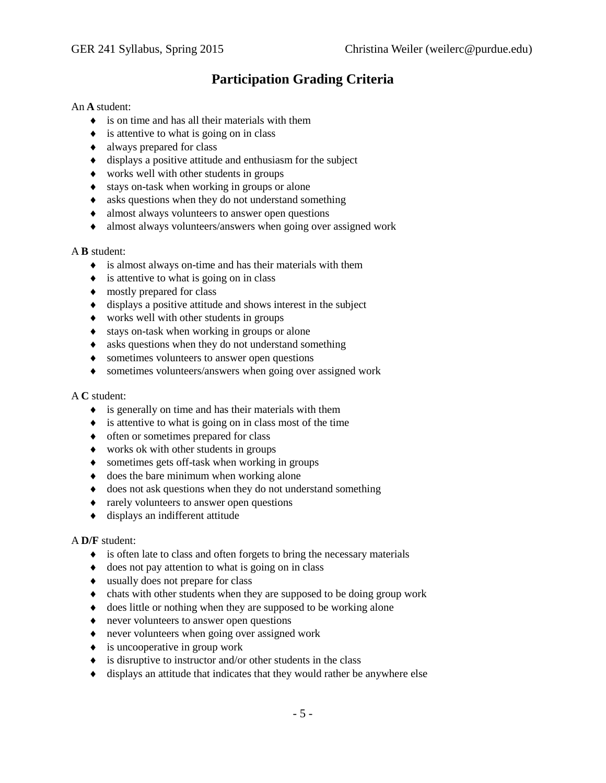# **Participation Grading Criteria**

#### An **A** student:

- is on time and has all their materials with them
- $\bullet$  is attentive to what is going on in class
- always prepared for class
- $\bullet$  displays a positive attitude and enthusiasm for the subject
- works well with other students in groups
- stays on-task when working in groups or alone
- asks questions when they do not understand something
- almost always volunteers to answer open questions
- almost always volunteers/answers when going over assigned work

#### A **B** student:

- is almost always on-time and has their materials with them
- $\bullet$  is attentive to what is going on in class
- $\bullet$  mostly prepared for class
- $\bullet$  displays a positive attitude and shows interest in the subject
- works well with other students in groups
- stays on-task when working in groups or alone
- asks questions when they do not understand something
- sometimes volunteers to answer open questions
- sometimes volunteers/answers when going over assigned work

#### A **C** student:

- $\bullet$  is generally on time and has their materials with them
- $\bullet$  is attentive to what is going on in class most of the time
- $\bullet$  often or sometimes prepared for class
- works ok with other students in groups
- sometimes gets off-task when working in groups
- $\bullet$  does the bare minimum when working alone
- does not ask questions when they do not understand something
- $\triangleleft$  rarely volunteers to answer open questions
- displays an indifferent attitude

#### A **D/F** student:

- $\bullet$  is often late to class and often forgets to bring the necessary materials
- $\bullet$  does not pay attention to what is going on in class
- usually does not prepare for class
- chats with other students when they are supposed to be doing group work
- does little or nothing when they are supposed to be working alone
- never volunteers to answer open questions
- never volunteers when going over assigned work
- $\bullet$  is uncooperative in group work
- $\bullet$  is disruptive to instructor and/or other students in the class
- displays an attitude that indicates that they would rather be anywhere else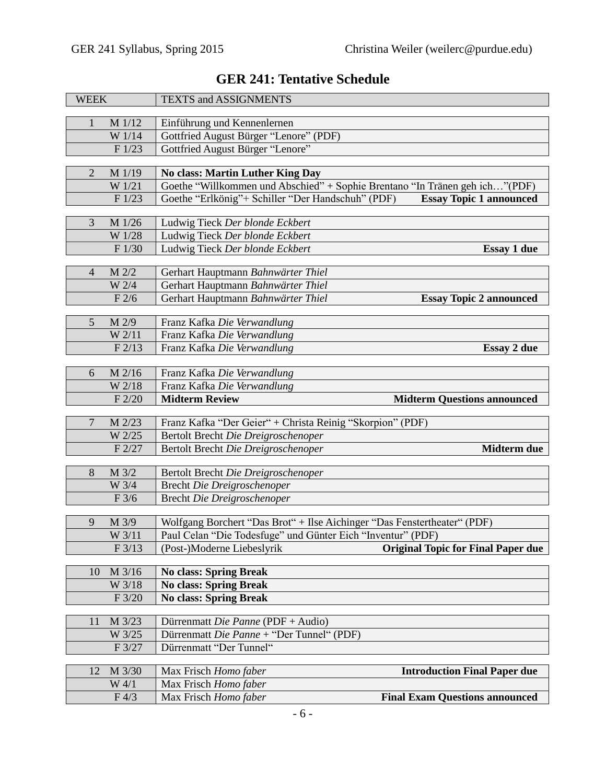| <b>WEEK</b>    |          | TEXTS and ASSIGNMENTS                                                               |
|----------------|----------|-------------------------------------------------------------------------------------|
| 1              | M 1/12   | Einführung und Kennenlernen                                                         |
|                | W 1/14   | Gottfried August Bürger "Lenore" (PDF)                                              |
|                | F1/23    | Gottfried August Bürger "Lenore"                                                    |
|                |          |                                                                                     |
| $\overline{2}$ | M 1/19   | <b>No class: Martin Luther King Day</b>                                             |
|                | W 1/21   | Goethe "Willkommen und Abschied" + Sophie Brentano "In Tränen geh ich"(PDF)         |
|                | F1/23    | Goethe "Erlkönig"+ Schiller "Der Handschuh" (PDF)<br><b>Essay Topic 1 announced</b> |
| 3              | M 1/26   | Ludwig Tieck Der blonde Eckbert                                                     |
|                | W 1/28   | Ludwig Tieck Der blonde Eckbert                                                     |
|                | F 1/30   | Ludwig Tieck Der blonde Eckbert<br><b>Essay 1 due</b>                               |
|                |          |                                                                                     |
| $\overline{4}$ | M 2/2    | Gerhart Hauptmann Bahnwärter Thiel                                                  |
|                | W 2/4    | Gerhart Hauptmann Bahnwärter Thiel                                                  |
|                | F2/6     | Gerhart Hauptmann Bahnwärter Thiel<br><b>Essay Topic 2 announced</b>                |
| 5              | M 2/9    | Franz Kafka Die Verwandlung                                                         |
|                | W 2/11   | Franz Kafka Die Verwandlung                                                         |
|                | F2/13    | Franz Kafka Die Verwandlung<br><b>Essay 2 due</b>                                   |
|                |          |                                                                                     |
| 6              | M 2/16   | Franz Kafka Die Verwandlung                                                         |
|                | W 2/18   | Franz Kafka Die Verwandlung                                                         |
|                | $F$ 2/20 | <b>Midterm Review</b><br><b>Midterm Questions announced</b>                         |
|                |          |                                                                                     |
|                |          |                                                                                     |
| $\overline{7}$ | M 2/23   | Franz Kafka "Der Geier" + Christa Reinig "Skorpion" (PDF)                           |
|                | W 2/25   | Bertolt Brecht Die Dreigroschenoper                                                 |
|                | F 2/27   | Bertolt Brecht Die Dreigroschenoper<br>Midterm due                                  |
| 8              | M 3/2    | Bertolt Brecht Die Dreigroschenoper                                                 |
|                | W 3/4    | <b>Brecht Die Dreigroschenoper</b>                                                  |
|                | F3/6     | <b>Brecht Die Dreigroschenoper</b>                                                  |
|                |          |                                                                                     |
| 9              | $M$ 3/9  | Wolfgang Borchert "Das Brot" + Ilse Aichinger "Das Fenstertheater" (PDF)            |
|                | W 3/11   | Paul Celan "Die Todesfuge" und Günter Eich "Inventur" (PDF)                         |
|                | F3/13    | <b>Original Topic for Final Paper due</b><br>(Post-)Moderne Liebeslyrik             |
| 10             | M 3/16   | <b>No class: Spring Break</b>                                                       |
|                | W 3/18   | <b>No class: Spring Break</b>                                                       |
|                | F 3/20   | <b>No class: Spring Break</b>                                                       |
|                |          |                                                                                     |
| 11             | M 3/23   | Dürrenmatt Die Panne (PDF + Audio)                                                  |
|                | W 3/25   | Dürrenmatt Die Panne + "Der Tunnel" (PDF)                                           |
|                | F 3/27   | Dürrenmatt "Der Tunnel"                                                             |
| 12             | M 3/30   | <b>Introduction Final Paper due</b><br>Max Frisch Homo faber                        |
|                | W 4/1    | Max Frisch Homo faber                                                               |

# **GER 241: Tentative Schedule**